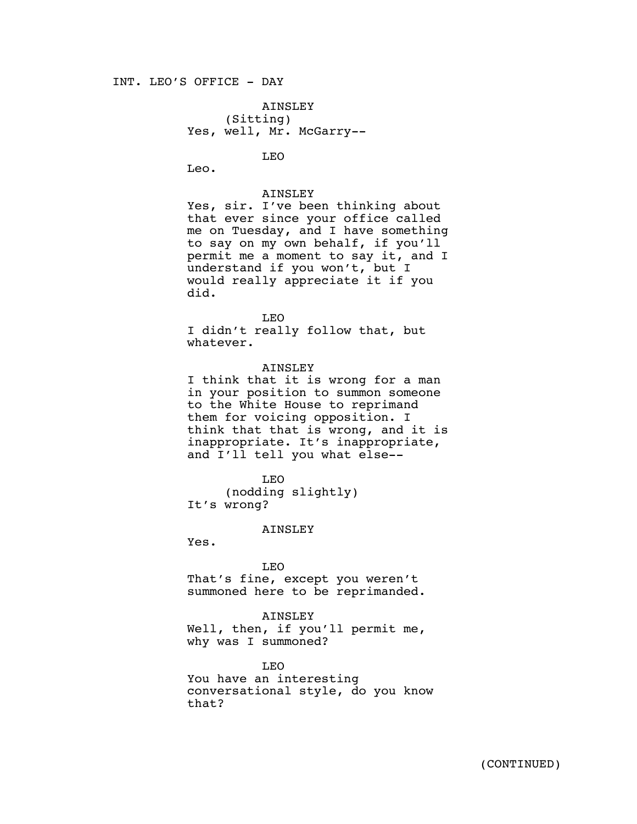## INT. LEO'S OFFICE - DAY

AINSLEY (Sitting) Yes, well, Mr. McGarry--

LEO

Leo.

AINSLEY

Yes, sir. I've been thinking about that ever since your office called me on Tuesday, and I have something to say on my own behalf, if you'll permit me a moment to say it, and I understand if you won't, but I would really appreciate it if you did.

LEO

I didn't really follow that, but whatever.

AINSLEY I think that it is wrong for a man in your position to summon someone to the White House to reprimand them for voicing opposition. I think that that is wrong, and it is inappropriate. It's inappropriate, and I'll tell you what else--

LEO (nodding slightly) It's wrong?

AINSLEY

Yes.

LEO That's fine, except you weren't summoned here to be reprimanded.

#### AINSLEY

Well, then, if you'll permit me, why was I summoned?

LEO

You have an interesting conversational style, do you know that?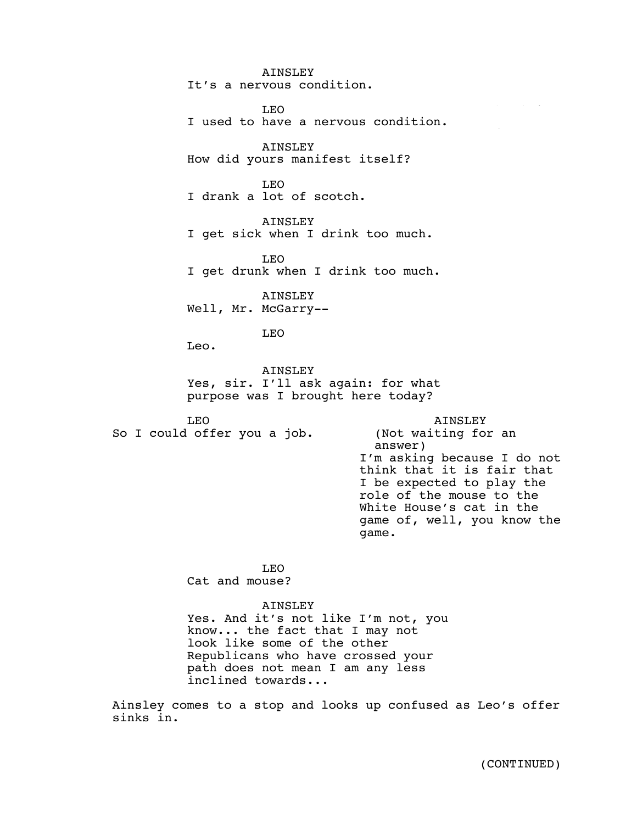AINSLEY It's a nervous condition. LEO I used to have a nervous condition. AINSLEY How did yours manifest itself? LEO I drank a lot of scotch. AINSLEY I get sick when I drink too much. LEO I get drunk when I drink too much. AINSLEY Well, Mr. McGarry --LEO Leo. AINSLEY Yes, sir. I'll ask again: for what purpose was I brought here today? LEO So I could offer you a job. AINSLEY (Not waiting for an answer) I'm asking because I do not think that it is fair that I be expected to play the role of the mouse to the White House's cat in the game of, well, you know the game. LEO Cat and mouse? AINSLEY Yes. And it's not like I'm not, you know... the fact that I may not look like some of the other Republicans who have crossed your path does not mean I am any less  $\overline{\phantom{a}}$  .  $\overline{\phantom{a}}$  .  $\overline{\phantom{a}}$  $\Delta_{\rm eff}$  La  $\Delta_{\rm eff}$ 

Ainsley comes to a stop and looks up confused as Leo's offer sinks in.

inclined towards...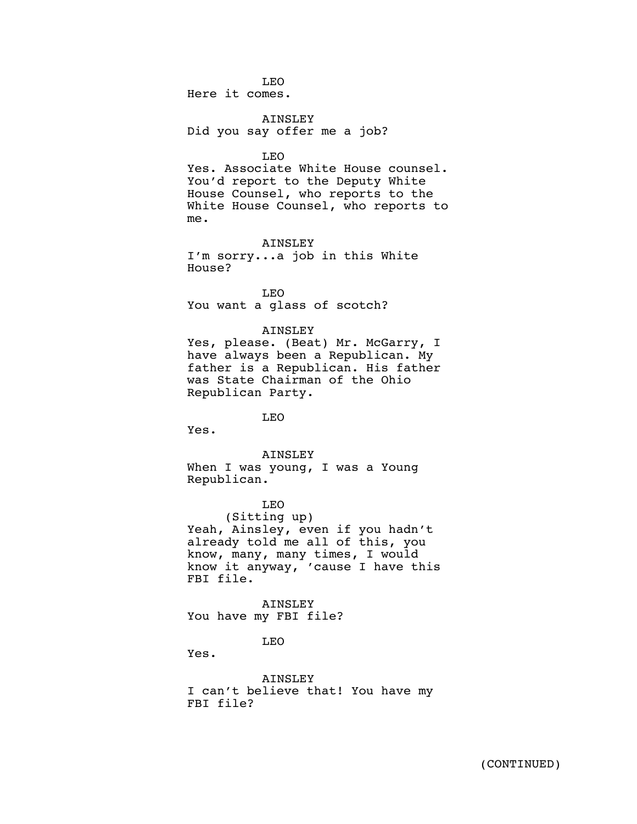LEO Here it comes.

AINSLEY Did you say offer me a job?

LEO

Yes. Associate White House counsel. You'd report to the Deputy White House Counsel, who reports to the White House Counsel, who reports to me.

AINSLEY I'm sorry...a job in this White House?

LEO You want a glass of scotch?

## AINSLEY

Yes, please. (Beat) Mr. McGarry, I have always been a Republican. My father is a Republican. His father was State Chairman of the Ohio Republican Party.

LEO

Yes.

#### AINSLEY

When I was young, I was a Young Republican.

LEO (Sitting up) Yeah, Ainsley, even if you hadn't already told me all of this, you know, many, many times, I would know it anyway, 'cause I have this FBI file.

AINSLEY You have my FBI file?

LEO

Yes.

AINSLEY I can't believe that! You have my FBI file?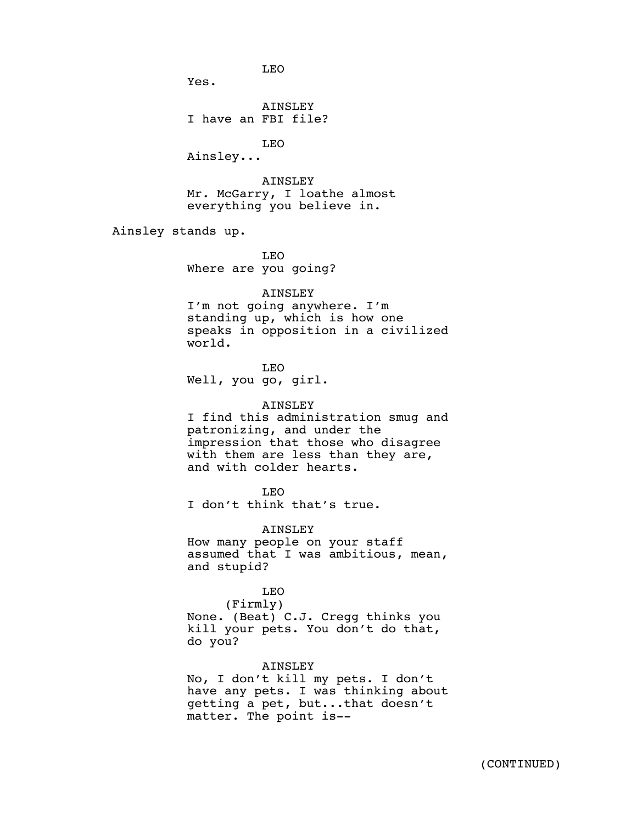LEO

Yes.

AINSLEY I have an FBI file?

LEO

Ainsley...

AINSLEY Mr. McGarry, I loathe almost everything you believe in.

Ainsley stands up.

LEO Where are you going?

## AINSLEY

I'm not going anywhere. I'm standing up, which is how one speaks in opposition in a civilized world.

LEO Well, you go, girl.

### AINSLEY

I find this administration smug and patronizing, and under the impression that those who disagree with them are less than they are, and with colder hearts.

LEO

I don't think that's true.

AINSLEY

How many people on your staff assumed that I was ambitious, mean, and stupid?

# LEO

(Firmly) None. (Beat) C.J. Cregg thinks you kill your pets. You don't do that, do you?

## AINSLEY

No, I don't kill my pets. I don't have any pets. I was thinking about getting a pet, but...that doesn't matter. The point is--